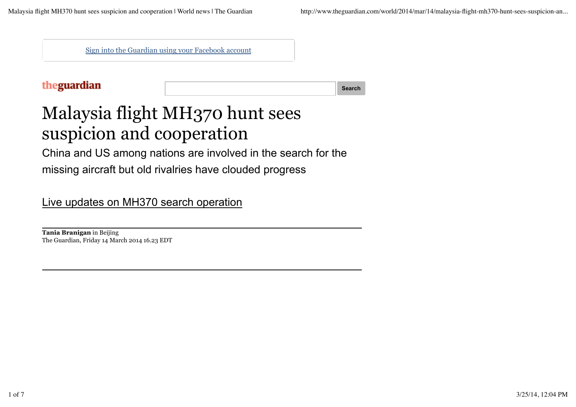Sign into the Guardian using your Facebook account

## theguardian

**Search**

# Malaysia flight MH370 hunt sees suspicion and cooperation

China and US among nations are involved in the search for the missing aircraft but old rivalries have clouded progress

## Live updates on MH370 search operation

**Tania Branigan** in Beijing The Guardian, Friday 14 March 2014 16.23 EDT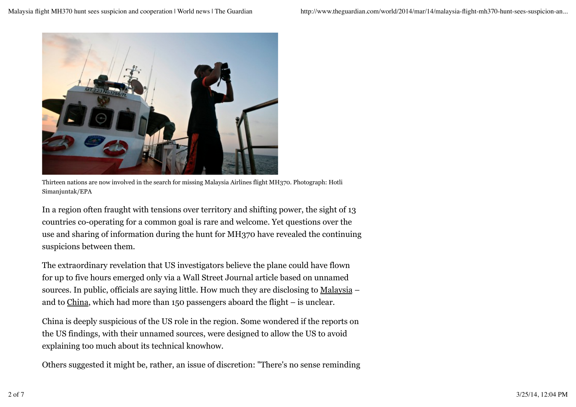

Thirteen nations are now involved in the search for missing Malaysia Airlines flight MH370. Photograph: Hotli Simanjuntak/EPA

In a region often fraught with tensions over territory and shifting power, the sight of 13 countries co-operating for a common goal is rare and welcome. Yet questions over the use and sharing of information during the hunt for MH370 have revealed the continuing suspicions between them.

The extraordinary revelation that US investigators believe the plane could have flown for up to five hours emerged only via a Wall Street Journal article based on unnamed sources. In public, officials are saying little. How much they are disclosing to Malaysia – and to China, which had more than 150 passengers aboard the flight – is unclear.

China is deeply suspicious of the US role in the region. Some wondered if the reports on the US findings, with their unnamed sources, were designed to allow the US to avoid explaining too much about its technical knowhow.

Others suggested it might be, rather, an issue of discretion: "There's no sense reminding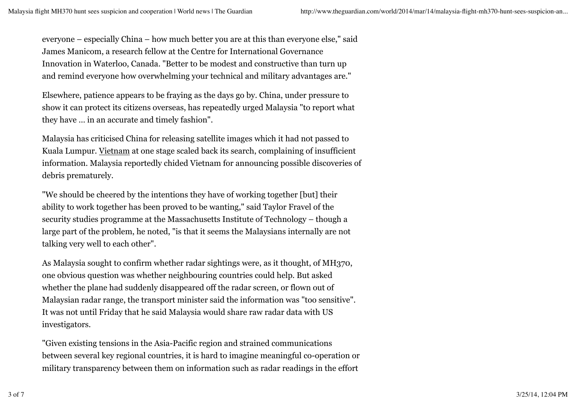everyone – especially China – how much better you are at this than everyone else," said James Manicom, a research fellow at the Centre for International Governance Innovation in Waterloo, Canada. "Better to be modest and constructive than turn up and remind everyone how overwhelming your technical and military advantages are."

Elsewhere, patience appears to be fraying as the days go by. China, under pressure to show it can protect its citizens overseas, has repeatedly urged Malaysia "to report what they have … in an accurate and timely fashion".

Malaysia has criticised China for releasing satellite images which it had not passed to Kuala Lumpur. Vietnam at one stage scaled back its search, complaining of insufficient information. Malaysia reportedly chided Vietnam for announcing possible discoveries of debris prematurely.

"We should be cheered by the intentions they have of working together [but] their ability to work together has been proved to be wanting," said Taylor Fravel of the security studies programme at the Massachusetts Institute of Technology – though a large part of the problem, he noted, "is that it seems the Malaysians internally are not talking very well to each other".

As Malaysia sought to confirm whether radar sightings were, as it thought, of MH370, one obvious question was whether neighbouring countries could help. But asked whether the plane had suddenly disappeared off the radar screen, or flown out of Malaysian radar range, the transport minister said the information was "too sensitive". It was not until Friday that he said Malaysia would share raw radar data with US investigators.

"Given existing tensions in the Asia-Pacific region and strained communications between several key regional countries, it is hard to imagine meaningful co-operation or military transparency between them on information such as radar readings in the effort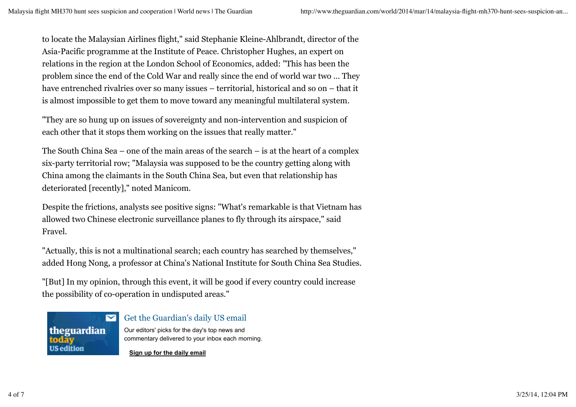to locate the Malaysian Airlines flight," said Stephanie Kleine-Ahlbrandt, director of the Asia-Pacific programme at the Institute of Peace. Christopher Hughes, an expert on relations in the region at the London School of Economics, added: "This has been the problem since the end of the Cold War and really since the end of world war two … They have entrenched rivalries over so many issues – territorial, historical and so on – that it is almost impossible to get them to move toward any meaningful multilateral system.

"They are so hung up on issues of sovereignty and non-intervention and suspicion of each other that it stops them working on the issues that really matter."

The South China Sea – one of the main areas of the search – is at the heart of a complex six-party territorial row; "Malaysia was supposed to be the country getting along with China among the claimants in the South China Sea, but even that relationship has deteriorated [recently]," noted Manicom.

Despite the frictions, analysts see positive signs: "What's remarkable is that Vietnam has allowed two Chinese electronic surveillance planes to fly through its airspace," said Fravel.

"Actually, this is not a multinational search; each country has searched by themselves," added Hong Nong, a professor at China's National Institute for South China Sea Studies.

"[But] In my opinion, through this event, it will be good if every country could increase the possibility of co-operation in undisputed areas."

 $\blacktriangledown$ theguardian US edition

### Get the Guardian's daily US email

Our editors' picks for the day's top news and commentary delivered to your inbox each morning.

**Sign up for the daily email**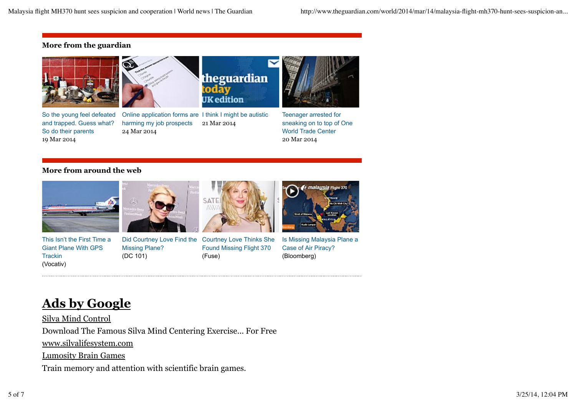#### **More from the guardian**



So do their parents 19 Mar 2014

24 Mar 2014

World Trade Center 20 Mar 2014

#### **More from around the web**



This Isn't the First Time a Giant Plane With GPS **Trackin** (Vocativ)



Missing Plane? (DC 101)



Did Courtney Love Find the Courtney Love Thinks She Found Missing Flight 370 (Fuse)



F malausia Flight 370

Is Missing Malaysia Plane a Case of Air Piracy? (Bloomberg)

# **Ads by Google**

Silva Mind Control Download The Famous Silva Mind Centering Exercise... For Free www.silvalifesystem.com Lumosity Brain Games Train memory and attention with scientific brain games.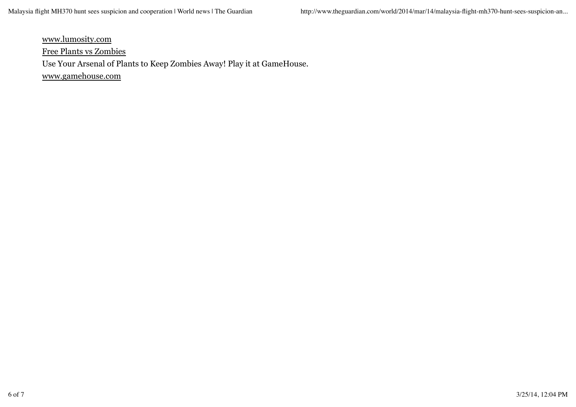www.lumosity.com Free Plants vs Zombies Use Your Arsenal of Plants to Keep Zombies Away! Play it at GameHouse. www.gamehouse.com